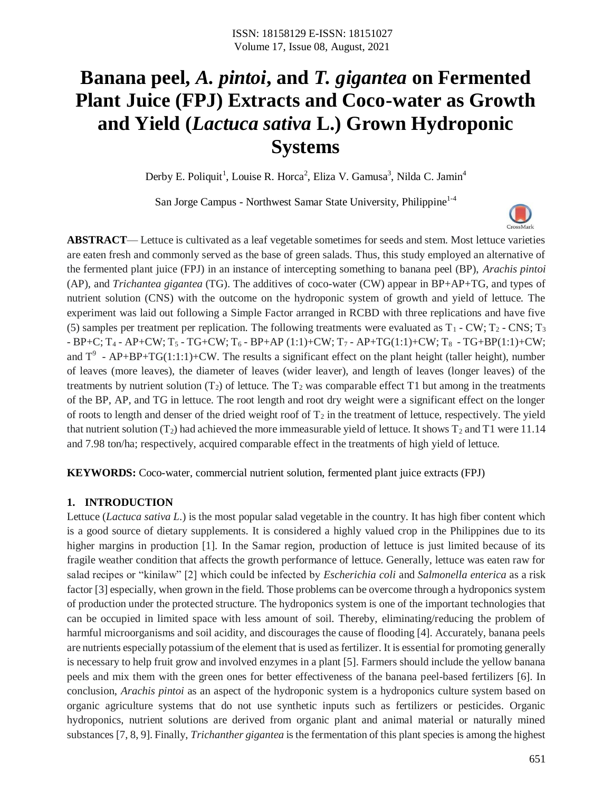# **Banana peel,** *A. pintoi***, and** *T. gigantea* **on Fermented Plant Juice (FPJ) Extracts and Coco-water as Growth and Yield (***Lactuca sativa* **L.) Grown Hydroponic Systems**

Derby E. Poliquit<sup>1</sup>, Louise R. Horca<sup>2</sup>, Eliza V. Gamusa<sup>3</sup>, Nilda C. Jamin<sup>4</sup>

San Jorge Campus - Northwest Samar State University, Philippine<sup>1-4</sup>

**ABSTRACT**— Lettuce is cultivated as a leaf vegetable sometimes for seeds and stem. Most lettuce varieties are eaten fresh and commonly served as the base of green salads. Thus, this study employed an alternative of the fermented plant juice (FPJ) in an instance of intercepting something to banana peel (BP), *Arachis pintoi* (AP), and *Trichantea gigantea* (TG). The additives of coco-water (CW) appear in BP+AP+TG, and types of nutrient solution (CNS) with the outcome on the hydroponic system of growth and yield of lettuce. The experiment was laid out following a Simple Factor arranged in RCBD with three replications and have five (5) samples per treatment per replication. The following treatments were evaluated as  $T_1$  - CW;  $T_2$  - CNS;  $T_3$  $-BP+C; T_4 - AP+CW; T_5 - TG+CW; T_6 - BP+AP (1:1)+CW; T_7 - AP+TG(1:1)+CW; T_8 - TG+BP(1:1)+CW;$ and  $T^9$  - AP+BP+TG(1:1:1)+CW. The results a significant effect on the plant height (taller height), number of leaves (more leaves), the diameter of leaves (wider leaver), and length of leaves (longer leaves) of the treatments by nutrient solution  $(T_2)$  of lettuce. The  $T_2$  was comparable effect T1 but among in the treatments of the BP, AP, and TG in lettuce. The root length and root dry weight were a significant effect on the longer of roots to length and denser of the dried weight roof of  $T_2$  in the treatment of lettuce, respectively. The yield that nutrient solution (T<sub>2</sub>) had achieved the more immeasurable yield of lettuce. It shows T<sub>2</sub> and T1 were 11.14 and 7.98 ton/ha; respectively, acquired comparable effect in the treatments of high yield of lettuce.

**KEYWORDS:** Coco-water, commercial nutrient solution, fermented plant juice extracts (FPJ)

## **1. INTRODUCTION**

Lettuce (*Lactuca sativa L*.) is the most popular salad vegetable in the country. It has high fiber content which is a good source of dietary supplements. It is considered a highly valued crop in the Philippines due to its higher margins in production [1]. In the Samar region, production of lettuce is just limited because of its fragile weather condition that affects the growth performance of lettuce. Generally, lettuce was eaten raw for salad recipes or "kinilaw" [2] which could be infected by *Escherichia coli* and *Salmonella enterica* as a risk factor [3] especially, when grown in the field. Those problems can be overcome through a hydroponics system of production under the protected structure. The hydroponics system is one of the important technologies that can be occupied in limited space with less amount of soil. Thereby, eliminating/reducing the problem of harmful microorganisms and soil acidity, and discourages the cause of flooding [4]. Accurately, banana peels are nutrients especially potassium of the element that is used as fertilizer. It is essential for promoting generally is necessary to help fruit grow and involved enzymes in a plant [5]. Farmers should include the yellow banana peels and mix them with the green ones for better effectiveness of the banana peel-based fertilizers [6]. In conclusion, *Arachis pintoi* as an aspect of the hydroponic system is a hydroponics culture system based on organic agriculture systems that do not use synthetic inputs such as fertilizers or pesticides. Organic hydroponics, nutrient solutions are derived from organic plant and animal material or naturally mined substances [7, 8, 9]. Finally, *Trichanther gigantea* is the fermentation of this plant species is among the highest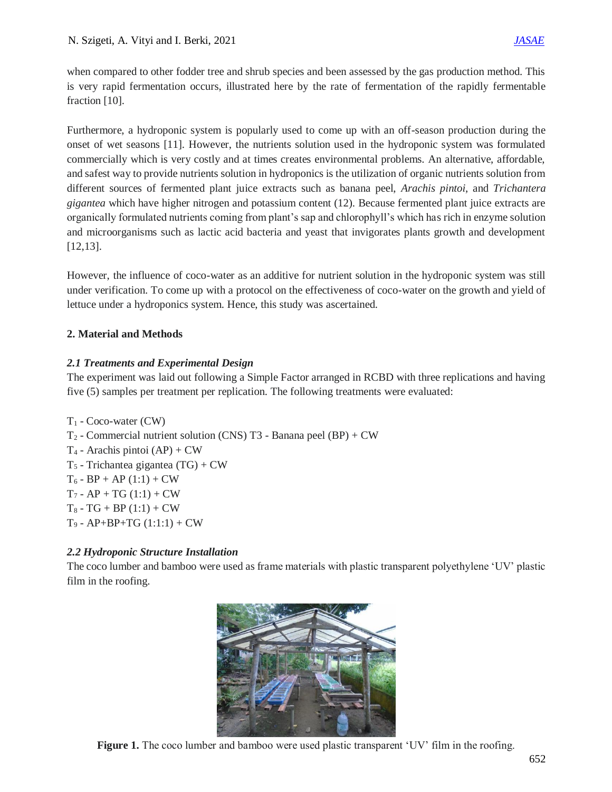when compared to other fodder tree and shrub species and been assessed by the gas production method. This is very rapid fermentation occurs, illustrated here by the rate of fermentation of the rapidly fermentable fraction [10].

Furthermore, a hydroponic system is popularly used to come up with an off-season production during the onset of wet seasons [11]. However, the nutrients solution used in the hydroponic system was formulated commercially which is very costly and at times creates environmental problems. An alternative, affordable, and safest way to provide nutrients solution in hydroponics is the utilization of organic nutrients solution from different sources of fermented plant juice extracts such as banana peel, *Arachis pintoi*, and *Trichantera gigantea* which have higher nitrogen and potassium content (12). Because fermented plant juice extracts are organically formulated nutrients coming from plant's sap and chlorophyll's which has rich in enzyme solution and microorganisms such as lactic acid bacteria and yeast that invigorates plants growth and development [12,13].

However, the influence of coco-water as an additive for nutrient solution in the hydroponic system was still under verification. To come up with a protocol on the effectiveness of coco-water on the growth and yield of lettuce under a hydroponics system. Hence, this study was ascertained.

## **2. Material and Methods**

## *2.1 Treatments and Experimental Design*

The experiment was laid out following a Simple Factor arranged in RCBD with three replications and having five (5) samples per treatment per replication. The following treatments were evaluated:

 $T_1$  - Coco-water (CW)  $T_2$  - Commercial nutrient solution (CNS) T3 - Banana peel (BP) + CW  $T_4$  - Arachis pintoi (AP) + CW  $T_5$  - Trichantea gigantea (TG) + CW  $T_6$  - BP + AP (1:1) + CW  $T_7$  - AP + TG (1:1) + CW  $T_8 - TG + BP(1:1) + CW$  $T_9$  - AP+BP+TG  $(1:1:1)$  + CW

# *2.2 Hydroponic Structure Installation*

The coco lumber and bamboo were used as frame materials with plastic transparent polyethylene 'UV' plastic film in the roofing.



**Figure 1.** The coco lumber and bamboo were used plastic transparent 'UV' film in the roofing.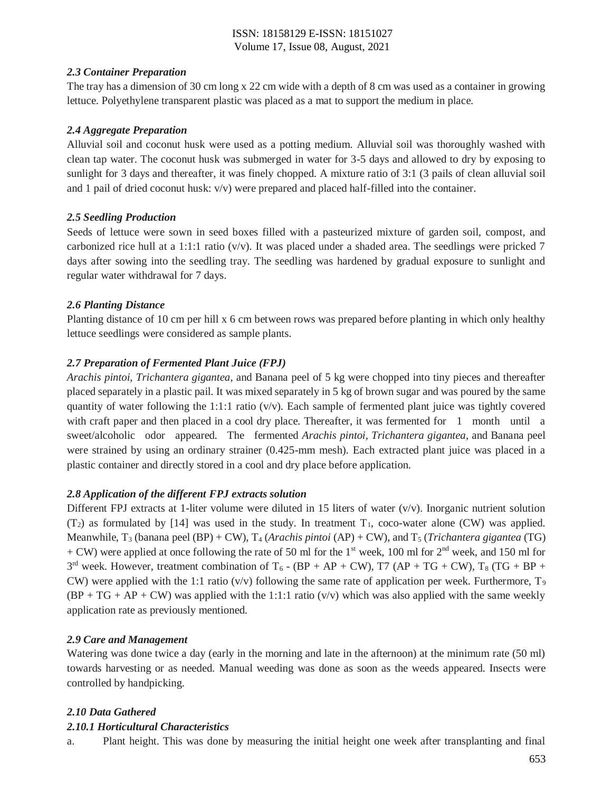#### *2.3 Container Preparation*

The tray has a dimension of 30 cm long x 22 cm wide with a depth of 8 cm was used as a container in growing lettuce. Polyethylene transparent plastic was placed as a mat to support the medium in place.

#### *2.4 Aggregate Preparation*

Alluvial soil and coconut husk were used as a potting medium. Alluvial soil was thoroughly washed with clean tap water. The coconut husk was submerged in water for 3-5 days and allowed to dry by exposing to sunlight for 3 days and thereafter, it was finely chopped. A mixture ratio of 3:1 (3 pails of clean alluvial soil and 1 pail of dried coconut husk: v/v) were prepared and placed half-filled into the container.

## *2.5 Seedling Production*

Seeds of lettuce were sown in seed boxes filled with a pasteurized mixture of garden soil, compost, and carbonized rice hull at a 1:1:1 ratio ( $v/v$ ). It was placed under a shaded area. The seedlings were pricked 7 days after sowing into the seedling tray. The seedling was hardened by gradual exposure to sunlight and regular water withdrawal for 7 days.

## *2.6 Planting Distance*

Planting distance of 10 cm per hill x 6 cm between rows was prepared before planting in which only healthy lettuce seedlings were considered as sample plants.

## *2.7 Preparation of Fermented Plant Juice (FPJ)*

*Arachis pintoi*, *Trichantera gigantea*, and Banana peel of 5 kg were chopped into tiny pieces and thereafter placed separately in a plastic pail. It was mixed separately in 5 kg of brown sugar and was poured by the same quantity of water following the 1:1:1 ratio ( $v/v$ ). Each sample of fermented plant juice was tightly covered with craft paper and then placed in a cool dry place. Thereafter, it was fermented for 1 month until a sweet/alcoholic odor appeared. The fermented *Arachis pintoi, Trichantera gigantea*, and Banana peel were strained by using an ordinary strainer (0.425-mm mesh). Each extracted plant juice was placed in a plastic container and directly stored in a cool and dry place before application.

## *2.8 Application of the different FPJ extracts solution*

Different FPJ extracts at 1-liter volume were diluted in 15 liters of water  $(v/v)$ . Inorganic nutrient solution  $(T_2)$  as formulated by [14] was used in the study. In treatment  $T_1$ , coco-water alone (CW) was applied. Meanwhile, T<sup>3</sup> (banana peel (BP) + CW), T<sup>4</sup> (*Arachis pintoi* (AP) + CW), and T<sup>5</sup> (*Trichantera gigantea* (TG)  $+$  CW) were applied at once following the rate of 50 ml for the 1<sup>st</sup> week, 100 ml for 2<sup>nd</sup> week, and 150 ml for  $3<sup>rd</sup>$  week. However, treatment combination of T<sub>6</sub> - (BP + AP + CW), T7 (AP + TG + CW), T<sub>8</sub> (TG + BP + CW) were applied with the 1:1 ratio (v/v) following the same rate of application per week. Furthermore,  $T_9$  $(BP + TG + AP + CW)$  was applied with the 1:1:1 ratio (v/v) which was also applied with the same weekly application rate as previously mentioned.

## *2.9 Care and Management*

Watering was done twice a day (early in the morning and late in the afternoon) at the minimum rate (50 ml) towards harvesting or as needed. Manual weeding was done as soon as the weeds appeared. Insects were controlled by handpicking.

## *2.10 Data Gathered*

## *2.10.1 Horticultural Characteristics*

a. Plant height. This was done by measuring the initial height one week after transplanting and final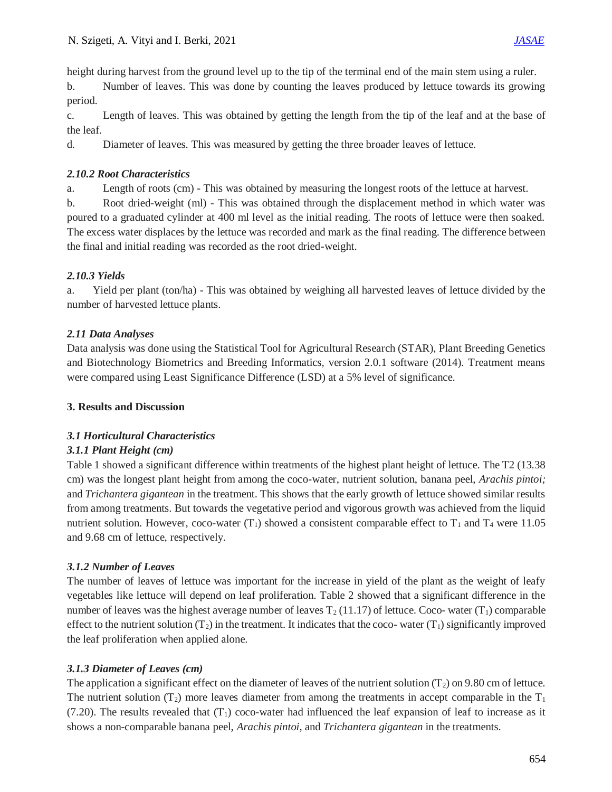height during harvest from the ground level up to the tip of the terminal end of the main stem using a ruler.

b. Number of leaves. This was done by counting the leaves produced by lettuce towards its growing period.

c. Length of leaves. This was obtained by getting the length from the tip of the leaf and at the base of the leaf.

d. Diameter of leaves. This was measured by getting the three broader leaves of lettuce.

## *2.10.2 Root Characteristics*

a. Length of roots (cm) - This was obtained by measuring the longest roots of the lettuce at harvest.

b. Root dried-weight (ml) - This was obtained through the displacement method in which water was poured to a graduated cylinder at 400 ml level as the initial reading. The roots of lettuce were then soaked. The excess water displaces by the lettuce was recorded and mark as the final reading. The difference between the final and initial reading was recorded as the root dried-weight.

# *2.10.3 Yields*

a. Yield per plant (ton/ha) - This was obtained by weighing all harvested leaves of lettuce divided by the number of harvested lettuce plants.

# *2.11 Data Analyses*

Data analysis was done using the Statistical Tool for Agricultural Research (STAR), Plant Breeding Genetics and Biotechnology Biometrics and Breeding Informatics, version 2.0.1 software (2014). Treatment means were compared using Least Significance Difference (LSD) at a 5% level of significance.

# **3. Results and Discussion**

# *3.1 Horticultural Characteristics*

# *3.1.1 Plant Height (cm)*

Table 1 showed a significant difference within treatments of the highest plant height of lettuce. The T2 (13.38 cm) was the longest plant height from among the coco-water, nutrient solution, banana peel, *Arachis pintoi;*  and *Trichantera gigantean* in the treatment. This shows that the early growth of lettuce showed similar results from among treatments. But towards the vegetative period and vigorous growth was achieved from the liquid nutrient solution. However, coco-water (T<sub>1</sub>) showed a consistent comparable effect to T<sub>1</sub> and T<sub>4</sub> were 11.05 and 9.68 cm of lettuce, respectively.

# *3.1.2 Number of Leaves*

The number of leaves of lettuce was important for the increase in yield of the plant as the weight of leafy vegetables like lettuce will depend on leaf proliferation. Table 2 showed that a significant difference in the number of leaves was the highest average number of leaves  $T_2(11.17)$  of lettuce. Coco- water (T<sub>1</sub>) comparable effect to the nutrient solution  $(T_2)$  in the treatment. It indicates that the coco- water  $(T_1)$  significantly improved the leaf proliferation when applied alone.

# *3.1.3 Diameter of Leaves (cm)*

The application a significant effect on the diameter of leaves of the nutrient solution  $(T_2)$  on 9.80 cm of lettuce. The nutrient solution  $(T_2)$  more leaves diameter from among the treatments in accept comparable in the  $T_1$  $(7.20)$ . The results revealed that  $(T_1)$  coco-water had influenced the leaf expansion of leaf to increase as it shows a non-comparable banana peel, *Arachis pintoi*, and *Trichantera gigantean* in the treatments.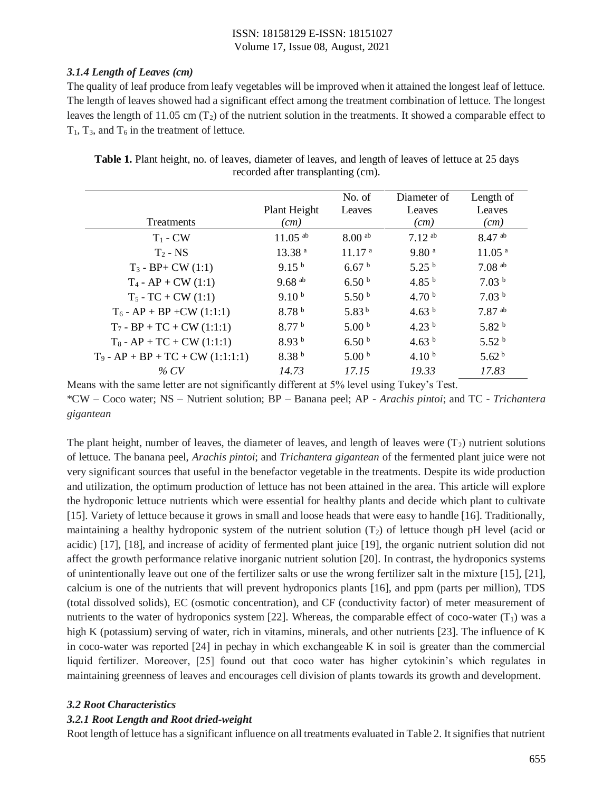#### *3.1.4 Length of Leaves (cm)*

The quality of leaf produce from leafy vegetables will be improved when it attained the longest leaf of lettuce. The length of leaves showed had a significant effect among the treatment combination of lettuce. The longest leaves the length of 11.05 cm  $(T_2)$  of the nutrient solution in the treatments. It showed a comparable effect to  $T_1$ ,  $T_3$ , and  $T_6$  in the treatment of lettuce.

|                                     | Plant Height          | No. of<br>Leaves     | Diameter of<br>Leaves | Length of<br>Leaves  |
|-------------------------------------|-----------------------|----------------------|-----------------------|----------------------|
| <b>Treatments</b>                   | (cm)                  |                      | (cm)                  | (cm)                 |
| $T_1$ - CW                          | $11.05$ <sup>ab</sup> | $8.00$ <sup>ab</sup> | $7.12^{ab}$           | $8.47$ ab            |
| $T_2$ - NS                          | 13.38 <sup>a</sup>    | 11.17 <sup>a</sup>   | 9.80 <sup>a</sup>     | 11.05 <sup>a</sup>   |
| $T_3 - BP + CW (1:1)$               | 9.15 <sup>b</sup>     | 6.67 <sup>b</sup>    | 5.25 <sup>b</sup>     | $7.08$ <sup>ab</sup> |
| $T_4$ - AP + CW (1:1)               | $9.68$ <sup>ab</sup>  | 6.50 <sup>b</sup>    | 4.85 $^{\rm b}$       | 7.03 <sup>b</sup>    |
| $T_5$ - TC + CW (1:1)               | 9.10 <sup>b</sup>     | 5.50 <sup>b</sup>    | 4.70 $^{\rm b}$       | 7.03 <sup>b</sup>    |
| $T_6$ - AP + BP + CW (1:1:1)        | 8.78 <sup>b</sup>     | 5.83 $^{\rm b}$      | 4.63 $^{\rm b}$       | $7.87$ <sup>ab</sup> |
| $T_7 - BP + TC + CW (1:1:1)$        | 8.77 <sup>b</sup>     | 5.00 <sup>b</sup>    | 4.23 $^{\rm b}$       | 5.82 <sup>b</sup>    |
| $T_8$ - AP + TC + CW (1:1:1)        | 8.93 <sup>b</sup>     | 6.50 <sup>b</sup>    | 4.63 $^{\rm b}$       | 5.52 <sup>b</sup>    |
| $T_9$ - AP + BP + TC + CW (1:1:1:1) | 8.38 <sup>b</sup>     | 5.00 <sup>b</sup>    | 4.10 <sup>b</sup>     | 5.62 <sup>b</sup>    |
| % CV                                | 14.73                 | 17.15                | 19.33                 | 17.83                |

**Table 1.** Plant height, no. of leaves, diameter of leaves, and length of leaves of lettuce at 25 days recorded after transplanting (cm).

Means with the same letter are not significantly different at 5% level using Tukey's Test. \*CW – Coco water; NS – Nutrient solution; BP – Banana peel; AP - *Arachis pintoi*; and TC - *Trichantera gigantean*

The plant height, number of leaves, the diameter of leaves, and length of leaves were  $(T_2)$  nutrient solutions of lettuce. The banana peel, *Arachis pintoi*; and *Trichantera gigantean* of the fermented plant juice were not very significant sources that useful in the benefactor vegetable in the treatments. Despite its wide production and utilization, the optimum production of lettuce has not been attained in the area. This article will explore the hydroponic lettuce nutrients which were essential for healthy plants and decide which plant to cultivate [15]. Variety of lettuce because it grows in small and loose heads that were easy to handle [16]. Traditionally, maintaining a healthy hydroponic system of the nutrient solution  $(T<sub>2</sub>)$  of lettuce though pH level (acid or acidic) [17], [18], and increase of acidity of fermented plant juice [19], the organic nutrient solution did not affect the growth performance relative inorganic nutrient solution [20]. In contrast, the hydroponics systems of unintentionally leave out one of the fertilizer salts or use the wrong fertilizer salt in the mixture [15], [21], calcium is one of the nutrients that will prevent hydroponics plants [16], and ppm (parts per million), TDS (total dissolved solids), EC (osmotic concentration), and CF (conductivity factor) of meter measurement of nutrients to the water of hydroponics system [22]. Whereas, the comparable effect of coco-water  $(T_1)$  was a high K (potassium) serving of water, rich in vitamins, minerals, and other nutrients [23]. The influence of K in coco-water was reported [24] in pechay in which exchangeable K in soil is greater than the commercial liquid fertilizer. Moreover, [25] found out that coco water has higher cytokinin's which regulates in maintaining greenness of leaves and encourages cell division of plants towards its growth and development.

#### *3.2 Root Characteristics*

## *3.2.1 Root Length and Root dried-weight*

Root length of lettuce has a significant influence on all treatments evaluated in Table 2. It signifies that nutrient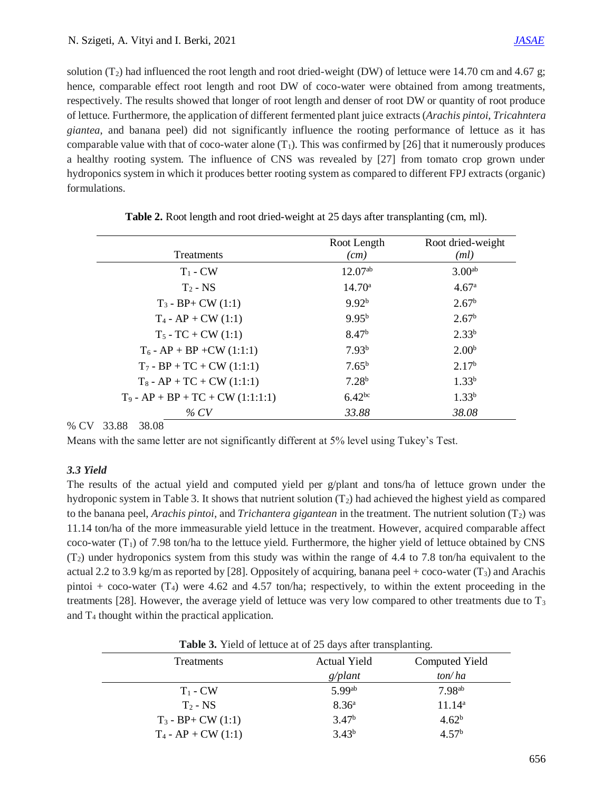solution  $(T_2)$  had influenced the root length and root dried-weight (DW) of lettuce were 14.70 cm and 4.67 g; hence, comparable effect root length and root DW of coco-water were obtained from among treatments, respectively. The results showed that longer of root length and denser of root DW or quantity of root produce of lettuce. Furthermore, the application of different fermented plant juice extracts (*Arachis pintoi*, *Tricahntera giantea*, and banana peel) did not significantly influence the rooting performance of lettuce as it has comparable value with that of coco-water alone  $(T_1)$ . This was confirmed by [26] that it numerously produces a healthy rooting system. The influence of CNS was revealed by [27] from tomato crop grown under hydroponics system in which it produces better rooting system as compared to different FPJ extracts (organic) formulations.

| <b>Treatments</b>                   | Root Length<br>(cm) | Root dried-weight<br>(ml) |
|-------------------------------------|---------------------|---------------------------|
| $T_1$ - CW                          | $12.07^{ab}$        | 3.00 <sup>ab</sup>        |
| $T_2$ - NS                          | $14.70^{\circ}$     | 4.67 <sup>a</sup>         |
| $T_3 - BP + CW (1:1)$               | 9.92 <sup>b</sup>   | 2.67 <sup>b</sup>         |
| $T_4$ - AP + CW (1:1)               | 9.95 <sup>b</sup>   | 2.67 <sup>b</sup>         |
| $T_5 - TC + CW (1:1)$               | 8.47 <sup>b</sup>   | $2.33^{b}$                |
| $T_6$ - AP + BP + CW (1:1:1)        | 7.93 <sup>b</sup>   | 2.00 <sup>b</sup>         |
| $T_7 - BP + TC + CW (1:1:1)$        | $7.65^{\rm b}$      | 2.17 <sup>b</sup>         |
| $T_8$ - AP + TC + CW (1:1:1)        | $7.28^{b}$          | $1.33^{b}$                |
| $T_9$ - AP + BP + TC + CW (1:1:1:1) | 6.42 <sup>bc</sup>  | 1.33 <sup>b</sup>         |
| % CV                                | 33.88               | 38.08                     |

**Table 2.** Root length and root dried-weight at 25 days after transplanting (cm, ml).

% CV 33.88 38.08

Means with the same letter are not significantly different at 5% level using Tukey's Test.

#### *3.3 Yield*

The results of the actual yield and computed yield per g/plant and tons/ha of lettuce grown under the hydroponic system in Table 3. It shows that nutrient solution  $(T_2)$  had achieved the highest yield as compared to the banana peel, *Arachis pintoi*, and *Trichantera gigantean* in the treatment. The nutrient solution (T2) was 11.14 ton/ha of the more immeasurable yield lettuce in the treatment. However, acquired comparable affect coco-water  $(T_1)$  of 7.98 ton/ha to the lettuce yield. Furthermore, the higher yield of lettuce obtained by CNS  $(T<sub>2</sub>)$  under hydroponics system from this study was within the range of 4.4 to 7.8 ton/ha equivalent to the actual 2.2 to 3.9 kg/m as reported by [28]. Oppositely of acquiring, banana peel + coco-water ( $T_3$ ) and Arachis pintoi + coco-water  $(T_4)$  were 4.62 and 4.57 ton/ha; respectively, to within the extent proceeding in the treatments [28]. However, the average yield of lettuce was very low compared to other treatments due to  $T_3$ and  $T_4$  thought within the practical application.

**Table 3.** Yield of lettuce at of 25 days after transplanting.

| <b>Treatments</b>      | Actual Yield      | Computed Yield     |
|------------------------|-------------------|--------------------|
|                        | g/plant           | ton/ha             |
| $T_1$ - CW             | 5.99ab            | 7.98 <sup>ab</sup> |
| $T_2$ - NS             | 8.36 <sup>a</sup> | $11.14^a$          |
| $T_3$ - BP+ CW $(1:1)$ | 3.47 <sup>b</sup> | 4.62 <sup>b</sup>  |
| $T_4$ - AP + CW (1:1)  | $3.43^{b}$        | 4.57 <sup>b</sup>  |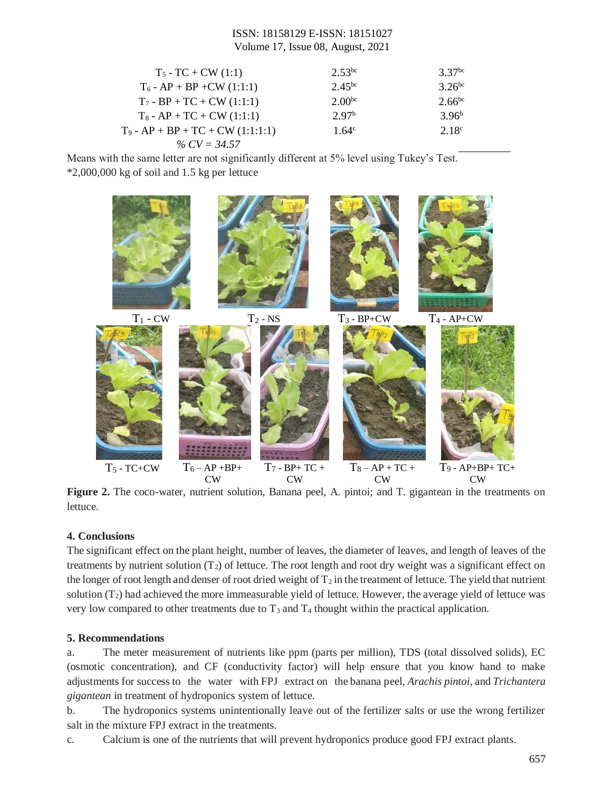| $T_5$ - TC + CW (1:1)               | $2.53^{bc}$       | 3.37 <sup>bc</sup> |
|-------------------------------------|-------------------|--------------------|
| $T_6$ - AP + BP + CW (1:1:1)        | 2.45 $bc$         | $3.26^{bc}$        |
| $T_7 - BP + TC + CW (1:1:1)$        | $2.00^{bc}$       | $2.66^{bc}$        |
| $T_8$ - AP + TC + CW (1:1:1)        | 2.97 <sup>b</sup> | $3.96^b$           |
| $T_9$ - AP + BP + TC + CW (1:1:1:1) | 1.64 $\rm{c}$     | 2.18 <sup>c</sup>  |
| % $CV = 34.57$                      |                   |                    |

Means with the same letter are not significantly different at 5% level using Tukey's Test. \*2,000,000 kg of soil and 1.5 kg per lettuce



**Figure 2.** The coco-water, nutrient solution, Banana peel, A. pintoi; and T. gigantean in the treatments on lettuce.

## **4. Conclusions**

The significant effect on the plant height, number of leaves, the diameter of leaves, and length of leaves of the treatments by nutrient solution  $(T_2)$  of lettuce. The root length and root dry weight was a significant effect on the longer of root length and denser of root dried weight of  $T_2$  in the treatment of lettuce. The yield that nutrient solution  $(T_2)$  had achieved the more immeasurable yield of lettuce. However, the average yield of lettuce was very low compared to other treatments due to  $T_3$  and  $T_4$  thought within the practical application.

## **5. Recommendations**

a. The meter measurement of nutrients like ppm (parts per million), TDS (total dissolved solids), EC (osmotic concentration), and CF (conductivity factor) will help ensure that you know hand to make adjustments for success to the water with FPJ extract on the banana peel, *Arachis pintoi*, and *Trichantera gigantean* in treatment of hydroponics system of lettuce.

b. The hydroponics systems unintentionally leave out of the fertilizer salts or use the wrong fertilizer salt in the mixture FPJ extract in the treatments.

c. Calcium is one of the nutrients that will prevent hydroponics produce good FPJ extract plants.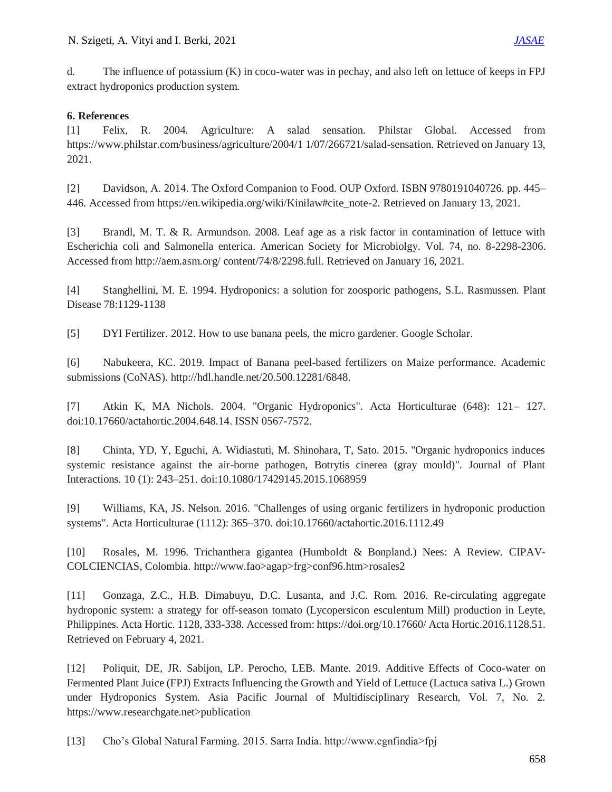d. The influence of potassium (K) in coco-water was in pechay, and also left on lettuce of keeps in FPJ extract hydroponics production system.

## **6. References**

[1] Felix, R. 2004. Agriculture: A salad sensation. Philstar Global. Accessed from https://www.philstar.com/business/agriculture/2004/1 1/07/266721/salad-sensation. Retrieved on January 13, 2021.

[2] Davidson, A. 2014. The Oxford Companion to Food. OUP Oxford. ISBN 9780191040726. pp. 445– 446. Accessed from https://en.wikipedia.org/wiki/Kinilaw#cite\_note-2. Retrieved on January 13, 2021.

[3] Brandl, M. T. & R. Armundson. 2008. Leaf age as a risk factor in contamination of lettuce with Escherichia coli and Salmonella enterica. American Society for Microbiolgy. Vol. 74, no. 8-2298-2306. Accessed from http://aem.asm.org/ content/74/8/2298.full. Retrieved on January 16, 2021.

[4] Stanghellini, M. E. 1994. Hydroponics: a solution for zoosporic pathogens, S.L. Rasmussen. Plant Disease 78:1129-1138

[5] DYI Fertilizer. 2012. How to use banana peels, the micro gardener. Google Scholar.

[6] Nabukeera, KC. 2019. Impact of Banana peel-based fertilizers on Maize performance. Academic submissions (CoNAS). http://hdl.handle.net/20.500.12281/6848.

[7] Atkin K, MA Nichols. 2004. "Organic Hydroponics". Acta Horticulturae (648): 121– 127. doi:10.17660/actahortic.2004.648.14. ISSN 0567-7572.

[8] Chinta, YD, Y, Eguchi, A. Widiastuti, M. Shinohara, T, Sato. 2015. "Organic hydroponics induces systemic resistance against the air-borne pathogen, Botrytis cinerea (gray mould)". Journal of Plant Interactions. 10 (1): 243–251. doi:10.1080/17429145.2015.1068959

[9] Williams, KA, JS. Nelson. 2016. "Challenges of using organic fertilizers in hydroponic production systems". Acta Horticulturae (1112): 365–370. doi:10.17660/actahortic.2016.1112.49

[10] Rosales, M. 1996. Trichanthera gigantea (Humboldt & Bonpland.) Nees: A Review. CIPAV-COLCIENCIAS, Colombia. http://www.fao>agap>frg>conf96.htm>rosales2

[11] Gonzaga, Z.C., H.B. Dimabuyu, D.C. Lusanta, and J.C. Rom. 2016. Re-circulating aggregate hydroponic system: a strategy for off-season tomato (Lycopersicon esculentum Mill) production in Leyte, Philippines. Acta Hortic. 1128, 333-338. Accessed from: https://doi.org/10.17660/ Acta Hortic.2016.1128.51. Retrieved on February 4, 2021.

[12] Poliquit, DE, JR. Sabijon, LP. Perocho, LEB. Mante. 2019. Additive Effects of Coco-water on Fermented Plant Juice (FPJ) Extracts Influencing the Growth and Yield of Lettuce (Lactuca sativa L.) Grown under Hydroponics System. Asia Pacific Journal of Multidisciplinary Research, Vol. 7, No. 2. https://www.researchgate.net>publication

[13] Cho's Global Natural Farming. 2015. Sarra India. http://www.cgnfindia>fpj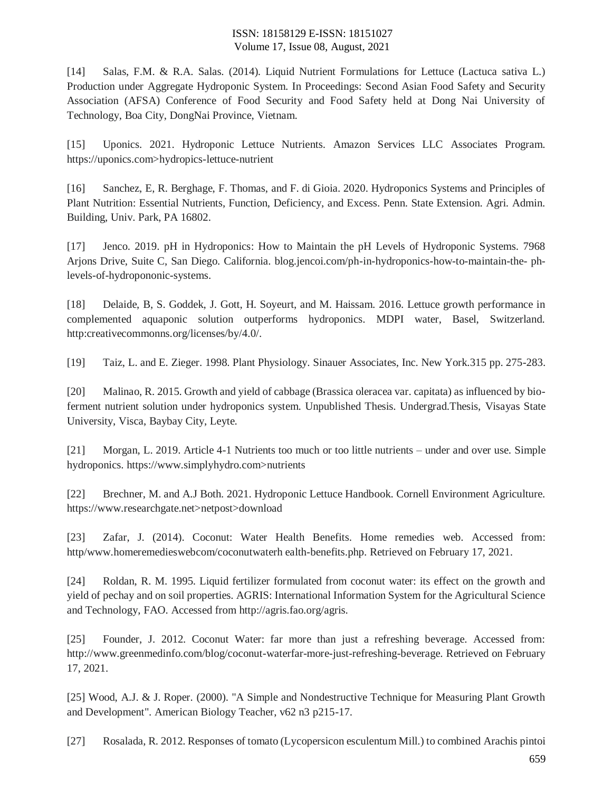[14] Salas, F.M. & R.A. Salas. (2014). Liquid Nutrient Formulations for Lettuce (Lactuca sativa L.) Production under Aggregate Hydroponic System. In Proceedings: Second Asian Food Safety and Security Association (AFSA) Conference of Food Security and Food Safety held at Dong Nai University of Technology, Boa City, DongNai Province, Vietnam.

[15] Uponics. 2021. Hydroponic Lettuce Nutrients. Amazon Services LLC Associates Program. https://uponics.com>hydropics-lettuce-nutrient

[16] Sanchez, E, R. Berghage, F. Thomas, and F. di Gioia. 2020. Hydroponics Systems and Principles of Plant Nutrition: Essential Nutrients, Function, Deficiency, and Excess. Penn. State Extension. Agri. Admin. Building, Univ. Park, PA 16802.

[17] Jenco. 2019. pH in Hydroponics: How to Maintain the pH Levels of Hydroponic Systems. 7968 Arjons Drive, Suite C, San Diego. California. blog.jencoi.com/ph-in-hydroponics-how-to-maintain-the- phlevels-of-hydropononic-systems.

[18] Delaide, B, S. Goddek, J. Gott, H. Soyeurt, and M. Haissam. 2016. Lettuce growth performance in complemented aquaponic solution outperforms hydroponics. MDPI water, Basel, Switzerland. http:creativecommonns.org/licenses/by/4.0/.

[19] Taiz, L. and E. Zieger. 1998. Plant Physiology. Sinauer Associates, Inc. New York.315 pp. 275-283.

[20] Malinao, R. 2015. Growth and yield of cabbage (Brassica oleracea var. capitata) as influenced by bioferment nutrient solution under hydroponics system. Unpublished Thesis. Undergrad.Thesis, Visayas State University, Visca, Baybay City, Leyte.

[21] Morgan, L. 2019. Article 4-1 Nutrients too much or too little nutrients – under and over use. Simple hydroponics. https://www.simplyhydro.com>nutrients

[22] Brechner, M. and A.J Both. 2021. Hydroponic Lettuce Handbook. Cornell Environment Agriculture. https://www.researchgate.net>netpost>download

[23] Zafar, J. (2014). Coconut: Water Health Benefits. Home remedies web. Accessed from: http/www.homeremedieswebcom/coconutwaterh ealth-benefits.php. Retrieved on February 17, 2021.

[24] Roldan, R. M. 1995. Liquid fertilizer formulated from coconut water: its effect on the growth and yield of pechay and on soil properties. AGRIS: International Information System for the Agricultural Science and Technology, FAO. Accessed from http://agris.fao.org/agris.

[25] Founder, J. 2012. Coconut Water: far more than just a refreshing beverage. Accessed from: http://www.greenmedinfo.com/blog/coconut-waterfar-more-just-refreshing-beverage. Retrieved on February 17, 2021.

[25] Wood, A.J. & J. Roper. (2000). "A Simple and Nondestructive Technique for Measuring Plant Growth and Development". American Biology Teacher, v62 n3 p215-17.

[27] Rosalada, R. 2012. Responses of tomato (Lycopersicon esculentum Mill.) to combined Arachis pintoi